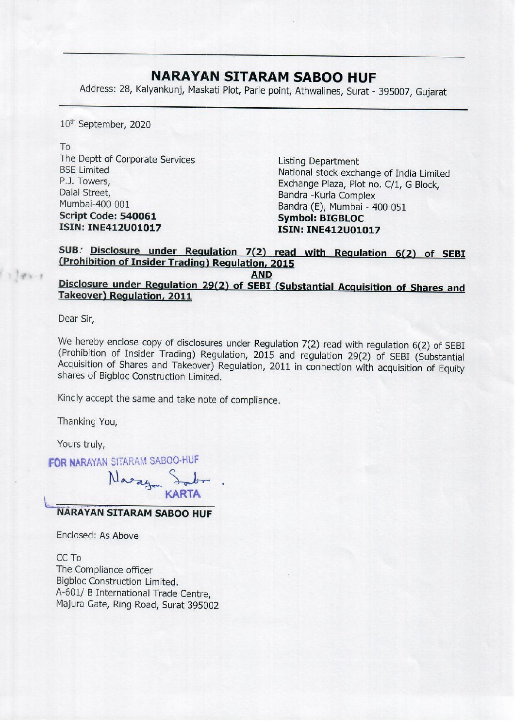## NARAYAN SITARAM SABOO HUF

**NARAYAN SITAF**<br>Address: 28, Kalyankunj, Maskati Plot, Parle Address: 28, Kalyankunj, Maskati Plot, Parle point, Athwalines, Surat - 395007, Gujarat

10" September, 2020

To

The Deptt of Corporate Services<br>
BSE Limited<br>
P.J. Towers,<br>
Dalal Street,<br>
Dalal Street,<br>
Mumbai-400 001<br> **Script Code: 540061**<br> **SCRIPT Code: 540061**<br> **SCRIPT Code: 540061**<br> **SCRIPT Code: 540061**<br> **SCRIPT Code: 540061**<br>

## SUB. Disclosure under Regulation 7(2) read with Regulation 6(2) of SEBI (Prohibition of Insider Trading) Regulation, 2015

AND<br>Disclosure under Regulation 29(2) of SEBI (Substantial Acquisition of Shares and Takeover) Regulation, 2011

Dear Sir,

 $11011$ 

We hereby enclose copy of disclosures under Regulation 7(2) read with regulation 6(2) of SEBI (Prohibition of Insider Trading) Regulation, 2015 and regulation 29(2) of SEBI (Substantial Acquisition of Shares and Takeover)

Kindly accept the same and take note of compliance.

Thanking You,

Yours truly,

Yours truly,<br>FOR NARAYAN SITARAM SABOO-HUF

KARTA

## NARAYAN SITARAM SABOO HUF

Enclosed: As Above

CC To The Compliance officer Bigbloc Construction Limited. A-601/ B International Trade Centre, Majura Gate, Ring Road, Surat 395002